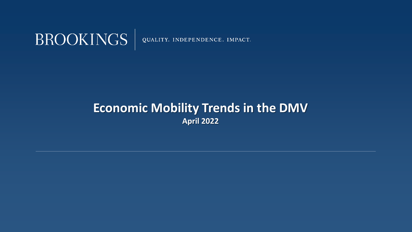

#### **Economic Mobility Trends in the DMV April 2022**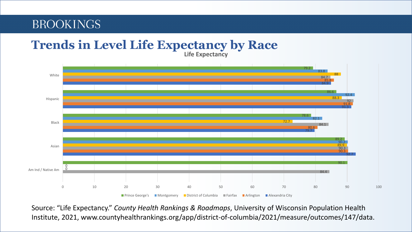#### **Life Expectancy Trends in Level Life Expectancy by Race**



Source: "Life Expectancy." *County Health Rankings & Roadmaps*, University of Wisconsin Population Health Institute, 2021, www.countyhealthrankings.org/app/district-of-columbia/2021/measure/outcomes/147/data.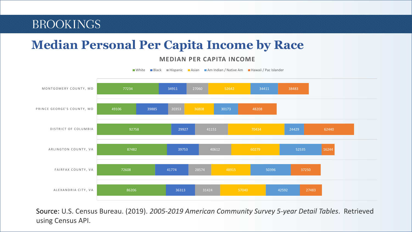# **Median Personal Per Capita Income by Race**

#### **MEDIAN PER CAPITA INCOME**



Source: U.S. Census Bureau. (2019). *2005-2019 American Community Survey 5-year Detail Tables*. Retrieved using Census API.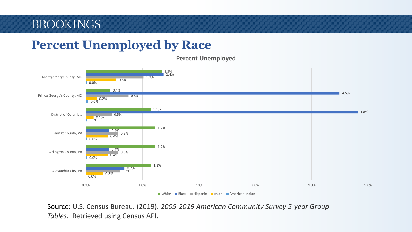## **Percent Unemployed by Race**



**Percent Unemployed**

 $\blacksquare$  White  $\blacksquare$  Black  $\blacksquare$  Hispanic  $\blacksquare$  Asian  $\blacksquare$  American Indian

Source: U.S. Census Bureau. (2019). *2005-2019 American Community Survey 5-year Group Tables*. Retrieved using Census API.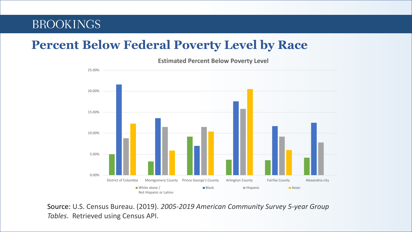# **Percent Below Federal Poverty Level by Race**



**Estimated Percent Below Poverty Level**

Source: U.S. Census Bureau. (2019). *2005-2019 American Community Survey 5-year Group Tables*. Retrieved using Census API.